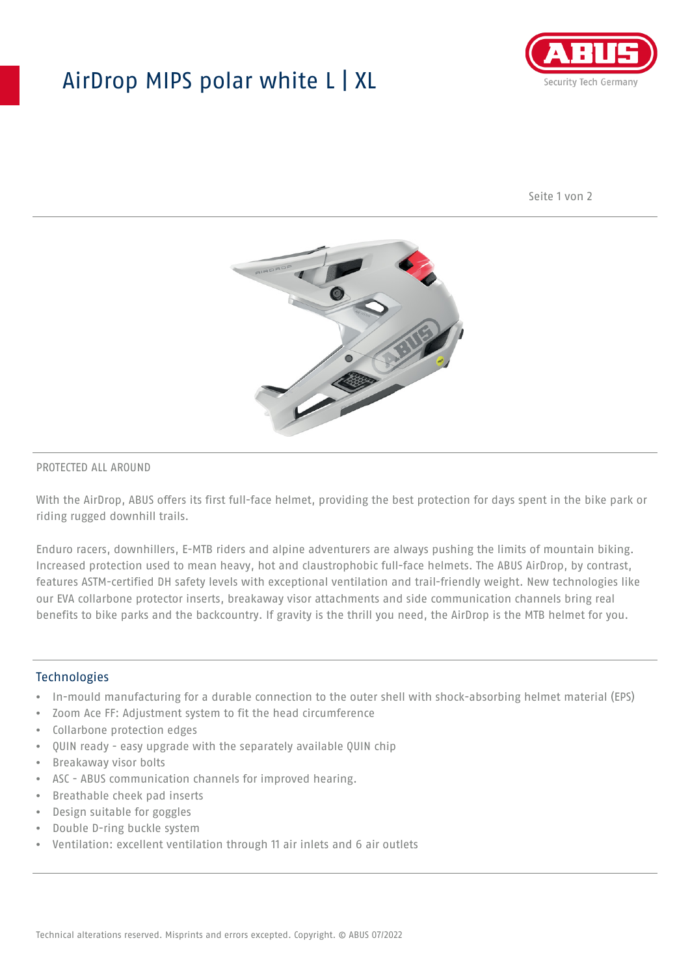## AirDrop MIPS polar white L | XL



Seite 1 von 2



#### PROTECTED ALL AROUND

With the AirDrop, ABUS offers its first full-face helmet, providing the best protection for days spent in the bike park or riding rugged downhill trails.

Enduro racers, downhillers, E-MTB riders and alpine adventurers are always pushing the limits of mountain biking. Increased protection used to mean heavy, hot and claustrophobic full-face helmets. The ABUS AirDrop, by contrast, features ASTM-certified DH safety levels with exceptional ventilation and trail-friendly weight. New technologies like our EVA collarbone protector inserts, breakaway visor attachments and side communication channels bring real benefits to bike parks and the backcountry. If gravity is the thrill you need, the AirDrop is the MTB helmet for you.

#### **Technologies**

- In-mould manufacturing for a durable connection to the outer shell with shock-absorbing helmet material (EPS)
- Zoom Ace FF: Adjustment system to fit the head circumference
- Collarbone protection edges
- QUIN ready easy upgrade with the separately available QUIN chip
- Breakaway visor bolts
- ASC ABUS communication channels for improved hearing.
- Breathable cheek pad inserts
- Design suitable for goggles
- Double D-ring buckle system
- Ventilation: excellent ventilation through 11 air inlets and 6 air outlets